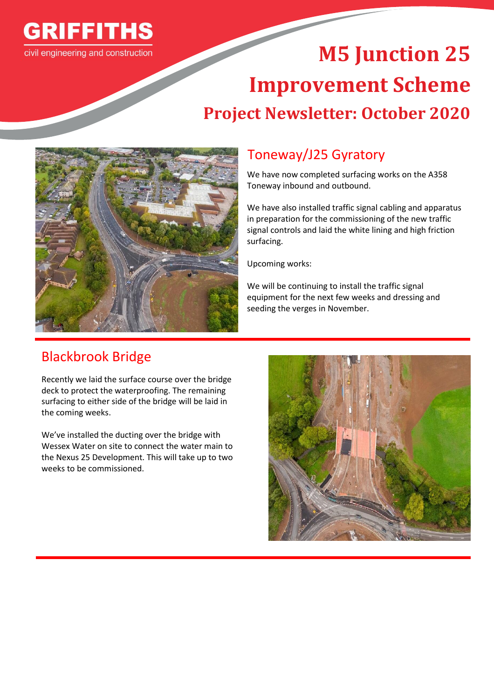

# **M5 Junction 25 Improvement Scheme Project Newsletter: October 2020**



# Toneway/J25 Gyratory

We have now completed surfacing works on the A358 Toneway inbound and outbound.

We have also installed traffic signal cabling and apparatus in preparation for the commissioning of the new traffic signal controls and laid the white lining and high friction surfacing.

Upcoming works:

We will be continuing to install the traffic signal equipment for the next few weeks and dressing and seeding the verges in November.

# Blackbrook Bridge

Recently we laid the surface course over the bridge deck to protect the waterproofing. The remaining surfacing to either side of the bridge will be laid in the coming weeks.

We've installed the ducting over the bridge with Wessex Water on site to connect the water main to the Nexus 25 Development. This will take up to two weeks to be commissioned.

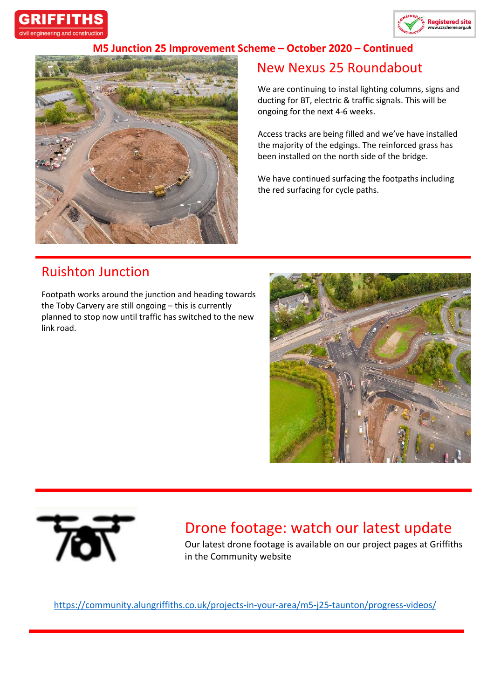



#### **M5 Junction 25 Improvement Scheme – October 2020 – Continued**



## New Nexus 25 Roundabout

We are continuing to instal lighting columns, signs and ducting for BT, electric & traffic signals. This will be ongoing for the next 4-6 weeks.

Access tracks are being filled and we've have installed the majority of the edgings. The reinforced grass has been installed on the north side of the bridge.

We have continued surfacing the footpaths including the red surfacing for cycle paths.

### Ruishton Junction

Footpath works around the junction and heading towards the Toby Carvery are still ongoing – this is currently planned to stop now until traffic has switched to the new link road.





## Drone footage: watch our latest update

Our latest drone footage is available on our project pages at Griffiths in the Community website

<https://community.alungriffiths.co.uk/projects-in-your-area/m5-j25-taunton/progress-videos/>